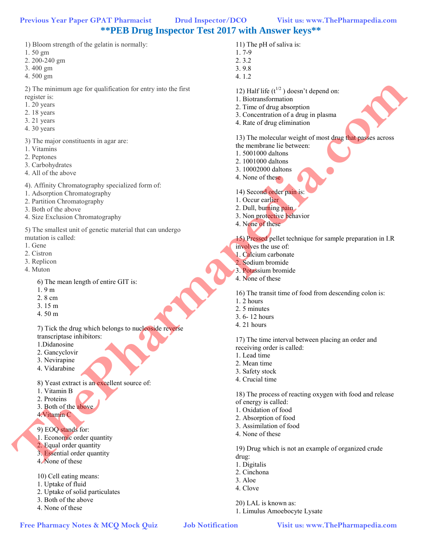# **\*\*PEB Drug Inspector Test 2017 with Answer keys\*\***

- 1) Bloom strength of the gelatin is normally:
- 1. 50 gm
- 2. 200-240 gm
- 3. 400 gm
- 4. 500 gm

2) The minimum age for qualification for entry into the first

- register is:
- 1. 20 years
- 2. 18 years
- 3. 21 years 4. 30 years
- 
- 3) The major constituents in agar are:
- 1. Vitamins
- 2. Peptones
- 3. Carbohydrates
- 4. All of the above
- 4). Affinity Chromatography specialized form of:
- 1. Adsorption Chromatography
- 2. Partition Chromatography
- 3. Both of the above
- 4. Size Exclusion Chromatography

5) The smallest unit of genetic material that can undergo mutation is called: **Free Mother Street (A)**  $\frac{1}{2}$  A street (A)  $\frac{1}{2}$  A street of the street of the street of the street of the street of the street of the street of the street of the street of the street of the street of the street

- 1. Gene
- 2. Cistron
- 3. Replicon
- 4. Muton

6) The mean length of entire GIT is:

- 1. 9 m
- 2. 8 cm
- 3. 15 m
- 4. 50 m

7) Tick the drug which belongs to nucleoside reverse transcriptase inhibitors:

- 1.Didanosine
- 2. Gancyclovir
- 3. Nevirapine
- 4. Vidarabine
- 8) Yeast extract is an excellent source of:
- 1. Vitamin B
- 2. Proteins
- 3. Both of the above
- 4.Vitamin C
- 9) EOQ stands for:
- 1. Economic order quantity
- 2. Equal order quantity
- 3. Essential order quantity
- 4. None of these
- 10) Cell eating means:
- 1. Uptake of fluid
- 2. Uptake of solid particulates
- 3. Both of the above
- 4. None of these
- 11) The pH of saliva is:
- 1. 7-9 2. 3.2
- 3. 9.8
- 4. 1.2
- 12) Half life  $(t^{1/2})$  doesn't depend on:
- 1. Biotransformation
- 2. Time of drug absorption
- 3. Concentration of a drug in plasma
- 4. Rate of drug elimination

# 13) The molecular weight of most drug that passes across

- the membrane lie between: 1. 5001000 daltons
- 2. 1001000 daltons
- 3. 10002000 daltons
- 
- 4. None of these
- 14) Second order pain is:
- 1. Occur earlier
- 2. Dull, burning pain
- 3. Non protective behavior
- 4. None of these
- 15) Pressed pellet technique for sample preparation in I.R involves the use of:
- 1. Calcium carbonate
- 2. Sodium bromide
- 3. Potassium bromide
- 4. None of these
- 16) The transit time of food from descending colon is:
- 1. 2 hours
- 2. 5 minutes
- 3. 6- 12 hours
- 4. 21 hours

17) The time interval between placing an order and receiving order is called:

- 1. Lead time
- 2. Mean time
- 3. Safety stock
- 4. Crucial time

18) The process of reacting oxygen with food and release of energy is called:

- 1. Oxidation of food
- 2. Absorption of food

20) LAL is known as:

1. Limulus Amoebocyte Lysate

- 3. Assimilation of food
- 4. None of these

19) Drug which is not an example of organized crude drug:

- 1. Digitalis
- 2. Cinchona
- 3. Aloe
- 4. Clove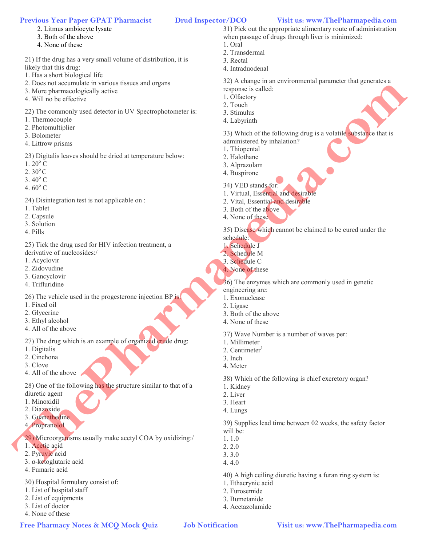- 2. Litmus ambiocyte lysate
- 3. Both of the above
- 4. None of these

21) If the drug has a very small volume of distribution, it is likely that this drug:

- 1. Has a short biological life
- 2. Does not accumulate in various tissues and organs
- 3. More pharmacologically active
- 4. Will no be effective

22) The commonly used detector in UV Spectrophotometer is:

- 1. Thermocouple
- 2. Photomultiplier
- 3. Bolometer
- 4. Littrow prisms

23) Digitalis leaves should be dried at temperature below:

- $1.20^{\circ}$  C
- $2.30^{\circ}$  C
- $3.40^{\circ}$  C
- 4.  $60^{\circ}$  C

24) Disintegration test is not applicable on :

- 1. Tablet
- 2. Capsule
- 3. Solution
- 4. Pills

25) Tick the drug used for HIV infection treatment, a derivative of nucleosides:/

- 1. Acyclovir
- 2. Zidovudine
- 3. Gancyclovir
- 4. Trifluridine

26) The vehicle used in the progesterone injection BP is:

- 1. Fixed oil
- 2. Glycerine
- 3. Ethyl alcohol
- 4. All of the above

27) The drug which is an example of organized crude drug:

- 1. Digitalis
- 2. Cinchona
- 3. Clove
- 4. All of the above

28) One of the following has the structure similar to that of a

- diuretic agent 1. Minoxidil
- 2. Diazoxide
- 3. Guanethedine
- 4. Propranolol
- 

29) Microorganisms usually make acetyl COA by oxidizing:/

- 1. Acetic acid
- 2. Pyruvic acid
- 3. α-ketoglutaric acid
- 4. Fumaric acid

30) Hospital formulary consist of:

- 1. List of hospital staff
- 2. List of equipments
- 3. List of doctor
- 4. None of these

31) Pick out the appropriate alimentary route of administration when passage of drugs through liver is minimized:

- 1. Oral
- 2. Transdermal 3. Rectal
- 
- 4. Intraduodenal

32) A change in an environmental parameter that generates a response is called:

- 1. Olfactory
- 2. Touch
- 3. Stimulus
- 4. Labyrinth

33) Which of the following drug is a volatile substance that is administered by inhalation? **Free Pharmacy and Science and Science of the Context of The Context Context Context Context Context Context Context Context Context Context Context Context Context Context Context Context Context Context Context Context C** 

- 1. Thiopental
- 2. Halothane
- 3. Alprazolam
- 4. Buspirone
- 34) VED stands for:
- 1. Virtual, Essential and desirable
- 2. Vital, Essential and desirable
- 3. Both of the above
- 4. None of these

35) Disease which cannot be claimed to be cured under the

- schedule: 1. Schedule J
- 2. Schedule M
- 3. Schedule C
- 4. None of these

36) The enzymes which are commonly used in genetic engineering are:

- 1. Exonuclease
- 2. Ligase
- 3. Both of the above
- 4. None of these

37) Wave Number is a number of waves per:

- 1. Millimeter
- 2. Centimeter $1$
- 3. Inch
- 4. Meter
- 38) Which of the following is chief excretory organ?
- 1. Kidney
- 2. Liver
- 3. Heart
- 4. Lungs

39) Supplies lead time between 02 weeks, the safety factor will be:

40) A high ceiling diuretic having a furan ring system is:

1. 1.0 2. 2.0

3. 3.0 4. 4.0

1. Ethacrynic acid 2. Furosemide 3. Bumetanide 4. Acetazolamide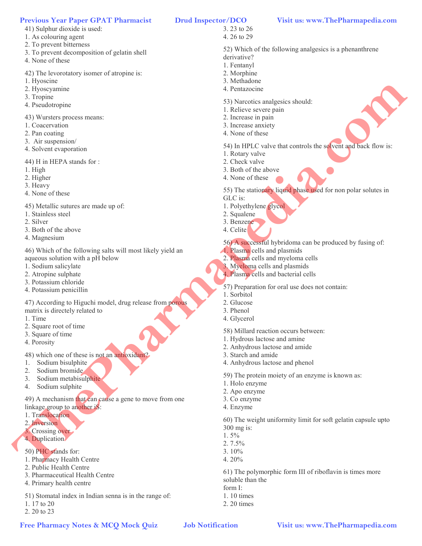- 41) Sulphur dioxide is used:
- 1. As colouring agent
- 2. To prevent bitterness
- 3. To prevent decomposition of gelatin shell
- 4. None of these
- 42) The levorotatory isomer of atropine is:
- 1. Hyoscine
- 2. Hyoscyamine
- 3. Tropine
- 4. Pseudotropine

43) Wursters process means:

- 1. Coacervation
- 2. Pan coating
- 3. Air suspension/
- 4. Solvent evaporation

44) H in HEPA stands for :

- 1. High
- 2. Higher
- 3. Heavy
- 4. None of these
- 45) Metallic sutures are made up of:
- 1. Stainless steel
- 2. Silver
- 3. Both of the above
- 4. Magnesium

46) Which of the following salts will most likely yield an aqueous solution with a pH below

- 1. Sodium salicylate
- 2. Atropine sulphate
- 3. Potassium chloride
- 4. Potassium penicillin

47) According to Higuchi model, drug release from porous matrix is directely related to

- 1. Time
- 2. Square root of time
- 3. Square of time
- 4. Porosity

48) which one of these is not an antioxidant?

- 1. Sodium bisulphite
- 2. Sodium bromide
- 3. Sodium metabisulphite
- 4. Sodium sulphite

49) A mechanism that can cause a gene to move from one linkage group to another iS:

- 1. Translocation
- 2. Inversion
- 3. Crossing over
- 4. Duplication
- 50) PHC stands for:
- 1. Pharmacy Health Centre
- 2. Public Health Centre
- 3. Pharmaceutical Health Centre
- 4. Primary health centre

51) Stomatal index in Indian senna is in the range of: 1. 17 to 20

2. 20 to 23

- 3. 23 to 26
- 4. 26 to 29

52) Which of the following analgesics is a phenanthrene derivative?

1. Fentanyl

- 2. Morphine
- 3. Methadone
- 4. Pentazocine
- 53) Narcotics analgesics should:
- 1. Relieve severe pain
- 2. Increase in pain
- 3. Increase anxiety
- 4. None of these
- 54) In HPLC valve that controls the solvent and back flow is:
- 1. Rotary valve
- 2. Check valve
- 3. Both of the above
- 4. None of these

55) The stationary liquid phase used for non polar solutes in

- GLC is:
- 1. Polyethylene glycol
- 2. Squalene
- 3. Benzene
- 4. Celite
- 56) A successful hybridoma can be produced by fusing of:
- 1. Plasma cells and plasmids
- 2. Plasma cells and myeloma cells
- 3. Myeloma cells and plasmids
- 4. Plasma cells and bacterial cells
- 57) Preparation for oral use does not contain:
- 1. Sorbitol
- 2. Glucose
- 3. Phenol
- 4. Glycerol

58) Millard reaction occurs between:

- 1. Hydrous lactose and amine
- 2. Anhydrous lactose and amide
- 3. Starch and amide
- 4. Anhydrous lactose and phenol

59) The protein moiety of an enzyme is known as:

- 1. Holo enzyme
- 2. Apo enzyme
- 3. Co enzyme
- 4. Enzyme

60) The weight uniformity limit for soft gelatin capsule upto 300 mg is: Free Pharmacy Mock Construction of the Construction of the Construction of the Construction of the Construction of the Construction of the Construction of the Construction of the Construction of the Construction of the Con

61) The polymorphic form III of riboflavin is times more

- $1.5\%$
- 2. 7.5% 3. 10%

4. 20%

form I: 1. 10 times 2. 20 times

soluble than the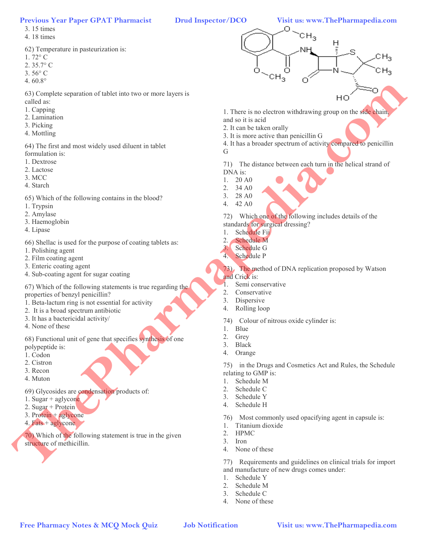3. 15 times

4. 18 times

62) Temperature in pasteurization is:

- 1. 72° C
- 2. 35.7° C
- 3. 56° C
- 4. 60.8°

63) Complete separation of tablet into two or more layers is called as:

- 1. Capping
- 2. Lamination
- 
- 3. Picking
- 4. Mottling

64) The first and most widely used diluent in tablet formulation is:

- 1. Dextrose
- 2. Lactose
- 3. MCC
- 4. Starch

65) Which of the following contains in the blood?

- 1. Trypsin
- 2. Amylase
- 3. Haemoglobin
- 4. Lipase

66) Shellac is used for the purpose of coating tablets as:

- 1. Polishing agent
- 2. Film coating agent
- 3. Enteric coating agent
- 4. Sub-coating agent for sugar coating

67) Which of the following statements is true regarding the properties of benzyl penicillin?

- 1. Beta-lactum ring is not essential for activity
- 2. It is a broad spectrum antibiotic
- 3. It has a bactericidal activity/
- 4. None of these

68) Functional unit of gene that specifies synthesis of one polypeptide is:

- 1. Codon
- 2. Cistron
- 3. Recon
- 4. Muton

69) Glycosides are condensation products of:

- 1. Sugar + aglycone
- 2. Sugar + Protein
- 3. Protein + aglycone
- 4. Fats + aglycone

70) Which of the following statement is true in the given structure of methicillin.

# $CH<sub>3</sub>$ Н

- Ξ s  $CH<sub>3</sub>$  $CH<sub>3</sub>$ **Free Pharmacy Notification Free Pharmacy Notification Control in the Control in the Second Control in the Second Control in the Control in the Control in the Control in the Control in the Control in the Control in the** 
	- 1. There is no electron withdrawing group on the side chain, and so it is acid
	- 2. It can be taken orally
	- 3. It is more active than penicillin G
	- 4. It has a broader spectrum of activity compared to penicillin
	- G

71) The distance between each turn in the helical strand of DNA is:

- 1. 20 A0
- 2. 34 A0
- 3. 28 A0
- 4. 42 A0
- 72) Which one of the following includes details of the standards for surgical dressing?
- 1. Schedule Fii
- 2. Schedule M<br>3. Schedule G
- Schedule G
- 4. Schedule P
- 73) The method of DNA replication proposed by Watson and Crick is:
- 1. Semi conservative
- 2. Conservative
- 3. Dispersive
- 4. Rolling loop
- 74) Colour of nitrous oxide cylinder is:
- 1. Blue
- 2. Grey
- 3. Black
- 4. Orange

75) in the Drugs and Cosmetics Act and Rules, the Schedule relating to GMP is:

- 1. Schedule M
- 2. Schedule C
- 3. Schedule Y
- 4. Schedule H
- 76) Most commonly used opacifying agent in capsule is:
- 1. Titanium dioxide
- 2. HPMC
- 3. Iron
- 4. None of these

77) Requirements and guidelines on clinical trials for import and manufacture of new drugs comes under:

- 1. Schedule Y
- 2. Schedule M
- 3. Schedule C
- 4. None of these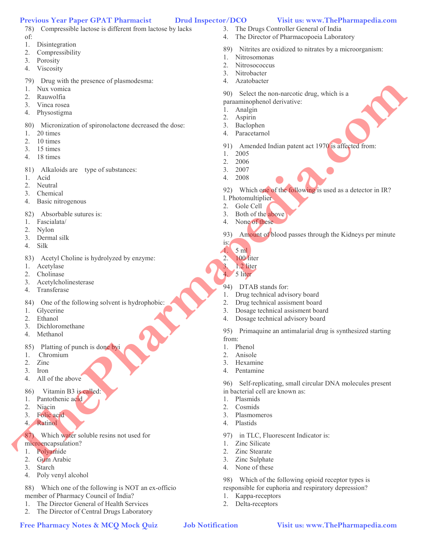- 78) Compressible lactose is different from lactose by lacks of:
- 1. Disintegration
- 2. Compressibility
- 3. Porosity
- 4. Viscosity
- 79) Drug with the presence of plasmodesma:
- 1. Nux vomica
- 2. Rauwolfia
- 3. Vinca rosea
- 4. Physostigma
- 80) Micronization of spironolactone decreased the dose:
- 1. 20 times
- 2. 10 times
- 3. 15 times
- 4. 18 times
- 81) Alkaloids are type of substances:
- 1. Acid
- 2. Neutral
- 3. Chemical
- 4. Basic nitrogenous
- 82) Absorbable sutures is:
- 1. Fascialata/
- 2. Nylon
- 3. Dermal silk
- 4. Silk
- 83) Acetyl Choline is hydrolyzed by enzyme:
- 1. Acetylase
- 2. Cholinase
- 3. Acetylcholinesterase
- 4. Transferase
- 84) One of the following solvent is hydrophobic:
- 1. Glycerine
- 2. Ethanol
- 3. Dichloromethane
- 4. Methanol
- 85) Platting of punch is done byi
- 1. Chromium
- 2. Zinc
- 3. Iron
- 4. All of the above
- 86) Vitamin B3 is called:
- 1. Pantothenic acid
- 2. Niacin
- 3. Folic acid
- 4. Ratinol
- 87) Which water soluble resins not used for
- microencapsulation?
- 1. Polyamide
- 2. Gum Arabic
- 3. Starch
- 4. Poly venyl alcohol

88) Which one of the following is NOT an ex-officio member of Pharmacy Council of India?

- 1. The Director General of Health Services
- 2. The Director of Central Drugs Laboratory
- 
- 3. The Drugs Controller General of India
- 4. The Director of Pharmacopoeia Laboratory
- 89) Nitrites are oxidized to nitrates by a microorganism:
- 1. Nitrosomonas
- 2. Nitrosococcus
- 3. Nitrobacter
- 4. Azatobacter
- 90) Select the non-narcotic drug, which is a
- paraaminophenol derivative:
- 1. Analgin
- 2. Aspirin
- 3. Baclophen
- 4. Paracetarnol
- 91) Amended Indian patent act 1970 is affected from:
- 1. 2005
- 2. 2006
- 3. 2007
- 4. 2008
- 92) Which one of the following is used as a detector in IR?
- l. Photomultiplier
- 2. Gole Cell
- 3. Both of the above
- 4. None of these
- 93) Amount of blood passes through the Kidneys per minute
- is: 1. 5 ml
- 2. 100 liter
- 3. 1.2 liter
- 4. 5 liter
- 94) DTAB stands for:
- 1. Drug technical advisory board
- 2. Drug technical assisment board
- 3. Dosage technical assisment board
- 4. Dosage technical advisory board

97) in TLC, Fluorescent Indicator is:

95) Primaquine an antimalarial drug is synthesized starting from:

- 1. Phenol
- 2. Anisole
- 3. Hexamine
- 4. Pentamine

96) Self-replicating, small circular DNA molecules present in bacterial cell are known as: Free Pharmacy Andreas and The Conservation of the Conservation of the Conservation of the Conservation of the Conservation of the Conservation of the Conservation of the Conservation of the Conservation of the Conservation

98) Which of the following opioid receptor types is responsible for euphoria and respiratory depression?

- 1. Plasmids
- 2. Cosmids
- 3. Plasmomeros

1. Zinc Silicate 2. Zinc Stearate 3. Zinc Sulphate 4. None of these

1. Kappa-receptors 2. Delta-receptors

4. Plastids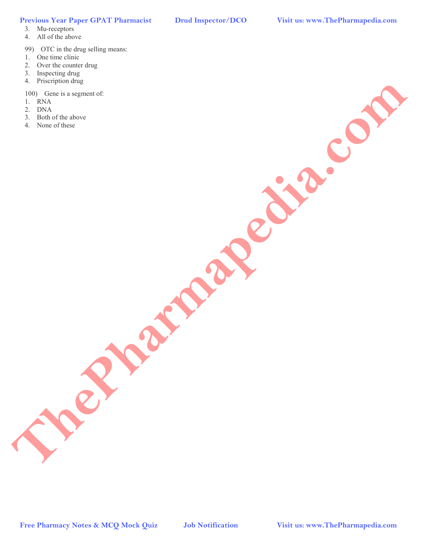## 3. Mu-receptors

- 4. All of the above
- 99) OTC in the drug selling means:
- 1. One time clinic
- 2. Over the counter drug
- 3. Inspecting drug
- 4. Priscription drug
- 100) Gene is a segment of:
- 1. RNA
- 2. DNA
- 3. Both of the above
- 4. None of these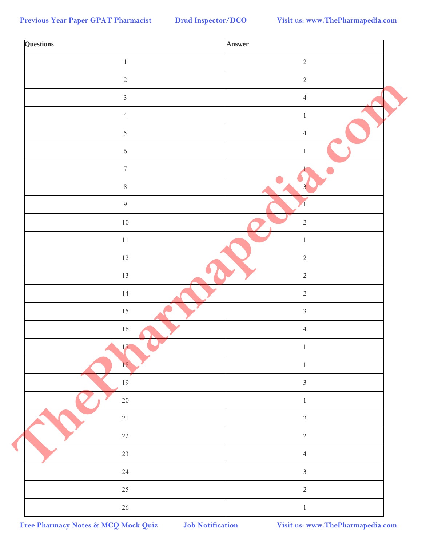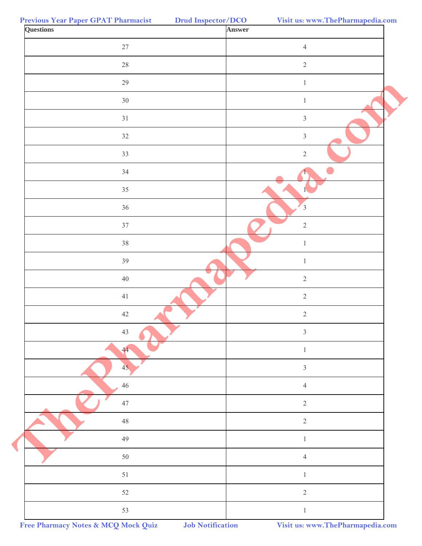| <b>Questions</b> | Answer                  |
|------------------|-------------------------|
| $27\,$           | $\overline{4}$          |
| $28\,$           | $\sqrt{2}$              |
| $29\,$           | $\mathbf{1}$            |
| 30 <sup>°</sup>  | $\,1\,$                 |
| 31               | $\mathfrak{Z}$          |
| 32               | $\mathfrak{Z}$          |
| 33               | $\sqrt{2}$              |
| 34               |                         |
| 35               |                         |
| 36               | $\overline{\mathbf{3}}$ |
| 37               | $\sqrt{2}$              |
| 38               | $\mathbf{1}$            |
| 39               | $\mathbf{1}$            |
| $40\,$           | $\sqrt{2}$              |
| 41               | $\sqrt{2}$              |
| 42               | $\sqrt{2}$              |
| 43               | $\mathfrak{Z}$          |
| 44               | $\mathbf{1}$            |
| 45               | $\mathfrak{Z}$          |
| $46\,$           | $\overline{4}$          |
| $47\,$           | $\sqrt{2}$              |
| $48\,$           | $\sqrt{2}$              |
| 49               | $\mathbf{1}$            |
| $50\,$           | $\overline{4}$          |
| 51               | $\mathbf{1}$            |
| 52               | $\sqrt{2}$              |
| 53               | $\,1\,$                 |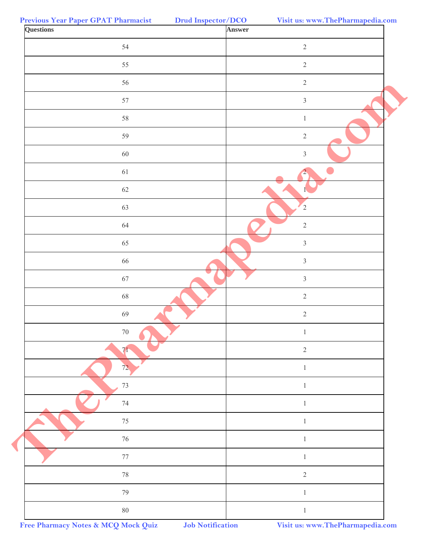| <b>Questions</b> | Answer         |
|------------------|----------------|
| 54               | $\overline{2}$ |
| 55               | $\sqrt{2}$     |
| 56               | $2\,$          |
| 57               | $\mathfrak{Z}$ |
| 58               | $\mathbf{1}$   |
| 59               | $\sqrt{2}$     |
| 60               | $\overline{3}$ |
| 61               | $\overline{2}$ |
| 62               |                |
| 63               | $\overline{2}$ |
| 64               | $\sqrt{2}$     |
| 65               | $\overline{3}$ |
| 66               | $\mathfrak{Z}$ |
| 67               | $\mathfrak{Z}$ |
| $\sqrt{68}$      | $\sqrt{2}$     |
| 69               | $\sqrt{2}$     |
| $70\,$           | $\mathbf{1}$   |
| 71               | $\sqrt{2}$     |
| 72               | $\mathbf{1}$   |
| $73\,$           | $\mathbf{1}$   |
| $74\,$           | $\mathbf{1}$   |
| $75\,$           | $\mathbf{1}$   |
| $76\,$           | $\mathbf{1}$   |
| $77\,$           | $\mathbf{1}$   |
| $78\,$           | $\sqrt{2}$     |
| 79               | $\mathbf{1}$   |
| $80\,$           | $\mathbf{1}$   |